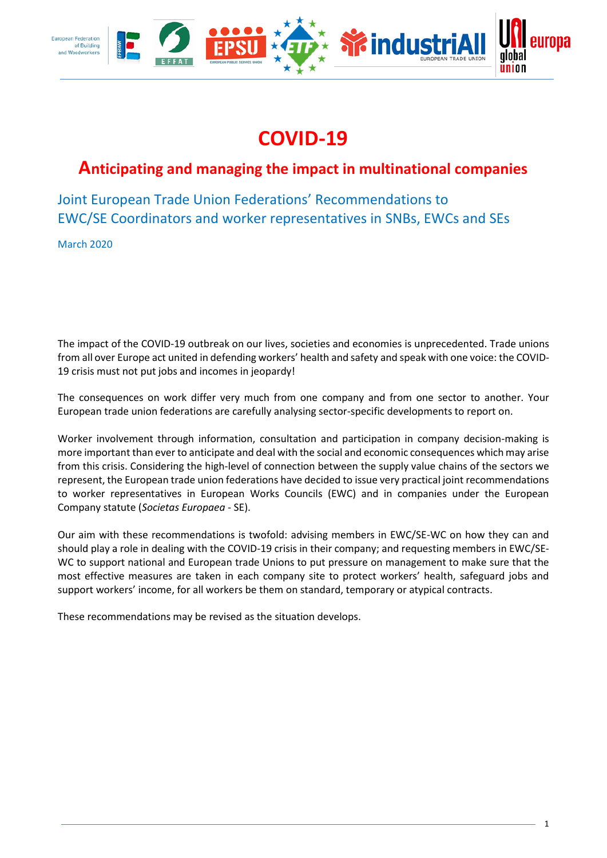

# **COVID-19**

# **Anticipating and managing the impact in multinational companies**

Joint European Trade Union Federations' Recommendations to EWC/SE Coordinators and worker representatives in SNBs, EWCs and SEs

March 2020

The impact of the COVID-19 outbreak on our lives, societies and economies is unprecedented. Trade unions from all over Europe act united in defending workers' health and safety and speak with one voice: the COVID-19 crisis must not put jobs and incomes in jeopardy!

The consequences on work differ very much from one company and from one sector to another. Your European trade union federations are carefully analysing sector-specific developments to report on.

Worker involvement through information, consultation and participation in company decision-making is more important than ever to anticipate and deal with the social and economic consequences which may arise from this crisis. Considering the high-level of connection between the supply value chains of the sectors we represent, the European trade union federations have decided to issue very practical joint recommendations to worker representatives in European Works Councils (EWC) and in companies under the European Company statute (*Societas Europaea* - SE).

Our aim with these recommendations is twofold: advising members in EWC/SE-WC on how they can and should play a role in dealing with the COVID-19 crisis in their company; and requesting members in EWC/SE-WC to support national and European trade Unions to put pressure on management to make sure that the most effective measures are taken in each company site to protect workers' health, safeguard jobs and support workers' income, for all workers be them on standard, temporary or atypical contracts.

These recommendations may be revised as the situation develops.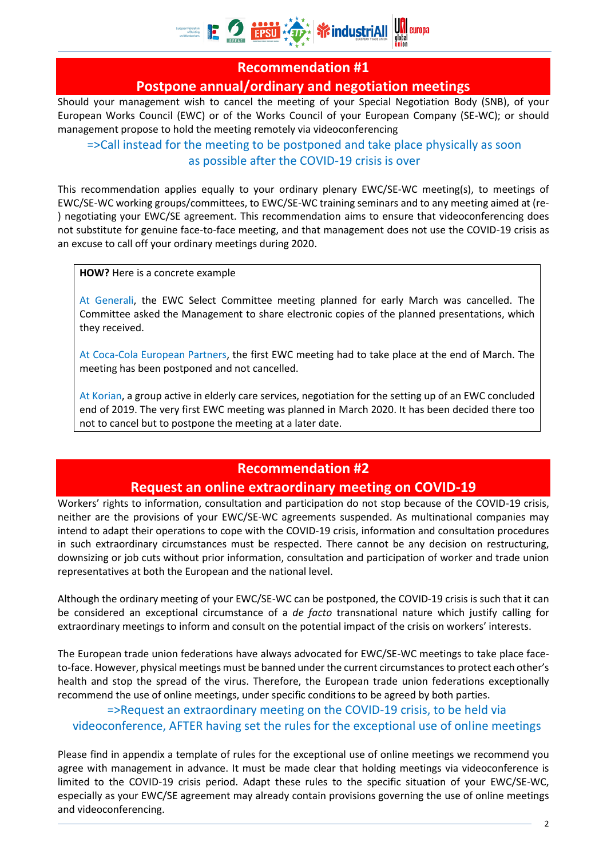

#### **Recommendation #1**

#### **Postpone annual/ordinary and negotiation meetings**

Should your management wish to cancel the meeting of your Special Negotiation Body (SNB), of your European Works Council (EWC) or of the Works Council of your European Company (SE-WC); or should management propose to hold the meeting remotely via videoconferencing

=>Call instead for the meeting to be postponed and take place physically as soon as possible after the COVID-19 crisis is over

This recommendation applies equally to your ordinary plenary EWC/SE-WC meeting(s), to meetings of EWC/SE-WC working groups/committees, to EWC/SE-WC training seminars and to any meeting aimed at (re- ) negotiating your EWC/SE agreement. This recommendation aims to ensure that videoconferencing does not substitute for genuine face-to-face meeting, and that management does not use the COVID-19 crisis as an excuse to call off your ordinary meetings during 2020.

**HOW?** Here is a concrete example

At Generali, the EWC Select Committee meeting planned for early March was cancelled. The Committee asked the Management to share electronic copies of the planned presentations, which they received.

At Coca-Cola European Partners, the first EWC meeting had to take place at the end of March. The meeting has been postponed and not cancelled.

At Korian, a group active in elderly care services, negotiation for the setting up of an EWC concluded end of 2019. The very first EWC meeting was planned in March 2020. It has been decided there too not to cancel but to postpone the meeting at a later date.

## **Recommendation #2 Request an online extraordinary meeting on COVID-19**

Workers' rights to information, consultation and participation do not stop because of the COVID-19 crisis, neither are the provisions of your EWC/SE-WC agreements suspended. As multinational companies may intend to adapt their operations to cope with the COVID-19 crisis, information and consultation procedures in such extraordinary circumstances must be respected. There cannot be any decision on restructuring, downsizing or job cuts without prior information, consultation and participation of worker and trade union representatives at both the European and the national level.

Although the ordinary meeting of your EWC/SE-WC can be postponed, the COVID-19 crisis is such that it can be considered an exceptional circumstance of a *de facto* transnational nature which justify calling for extraordinary meetings to inform and consult on the potential impact of the crisis on workers' interests.

The European trade union federations have always advocated for EWC/SE-WC meetings to take place faceto-face. However, physical meetings must be banned under the current circumstances to protect each other's health and stop the spread of the virus. Therefore, the European trade union federations exceptionally recommend the use of online meetings, under specific conditions to be agreed by both parties.

#### =>Request an extraordinary meeting on the COVID-19 crisis, to be held via videoconference, AFTER having set the rules for the exceptional use of online meetings

Please find in appendix a template of rules for the exceptional use of online meetings we recommend you agree with management in advance. It must be made clear that holding meetings via videoconference is limited to the COVID-19 crisis period. Adapt these rules to the specific situation of your EWC/SE-WC, especially as your EWC/SE agreement may already contain provisions governing the use of online meetings and videoconferencing.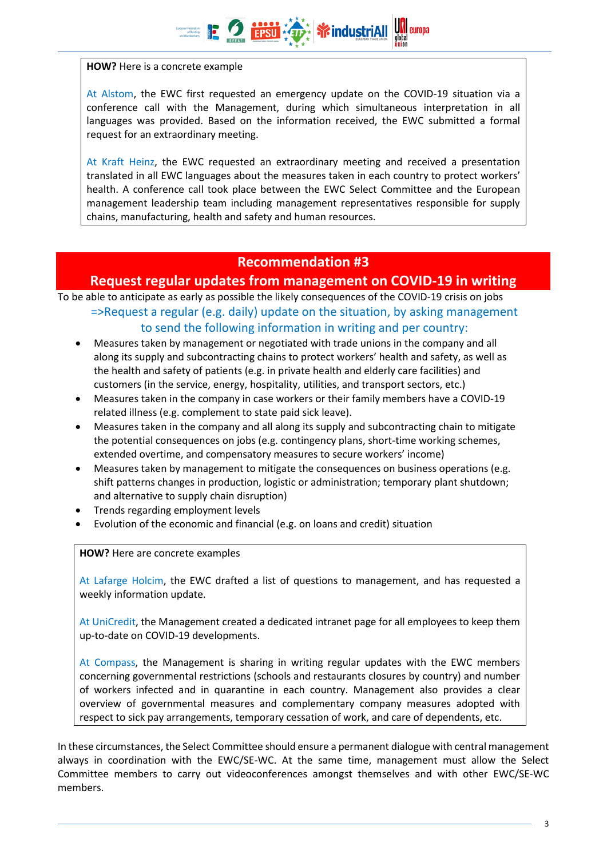**HOW?** Here is a concrete example

At Alstom, the EWC first requested an emergency update on the COVID-19 situation via a conference call with the Management, during which simultaneous interpretation in all languages was provided. Based on the information received, the EWC submitted a formal request for an extraordinary meeting.

**养industriAll** 

At Kraft Heinz, the EWC requested an extraordinary meeting and received a presentation translated in all EWC languages about the measures taken in each country to protect workers' health. A conference call took place between the EWC Select Committee and the European management leadership team including management representatives responsible for supply chains, manufacturing, health and safety and human resources.

#### **Recommendation #3**

#### **Request regular updates from management on COVID-19 in writing**

To be able to anticipate as early as possible the likely consequences of the COVID-19 crisis on jobs

#### =>Request a regular (e.g. daily) update on the situation, by asking management to send the following information in writing and per country:

- Measures taken by management or negotiated with trade unions in the company and all along its supply and subcontracting chains to protect workers' health and safety, as well as the health and safety of patients (e.g. in private health and elderly care facilities) and customers (in the service, energy, hospitality, utilities, and transport sectors, etc.)
- Measures taken in the company in case workers or their family members have a COVID-19 related illness (e.g. complement to state paid sick leave).
- Measures taken in the company and all along its supply and subcontracting chain to mitigate the potential consequences on jobs (e.g. contingency plans, short-time working schemes, extended overtime, and compensatory measures to secure workers' income)
- Measures taken by management to mitigate the consequences on business operations (e.g. shift patterns changes in production, logistic or administration; temporary plant shutdown; and alternative to supply chain disruption)
- Trends regarding employment levels
- Evolution of the economic and financial (e.g. on loans and credit) situation

**HOW?** Here are concrete examples

At Lafarge Holcim, the EWC drafted a list of questions to management, and has requested a weekly information update.

At UniCredit, the Management created a dedicated intranet page for all employees to keep them up-to-date on COVID-19 developments.

At Compass, the Management is sharing in writing regular updates with the EWC members concerning governmental restrictions (schools and restaurants closures by country) and number of workers infected and in quarantine in each country. Management also provides a clear overview of governmental measures and complementary company measures adopted with respect to sick pay arrangements, temporary cessation of work, and care of dependents, etc.

In these circumstances, the Select Committee should ensure a permanent dialogue with central management always in coordination with the EWC/SE-WC. At the same time, management must allow the Select Committee members to carry out videoconferences amongst themselves and with other EWC/SE-WC members.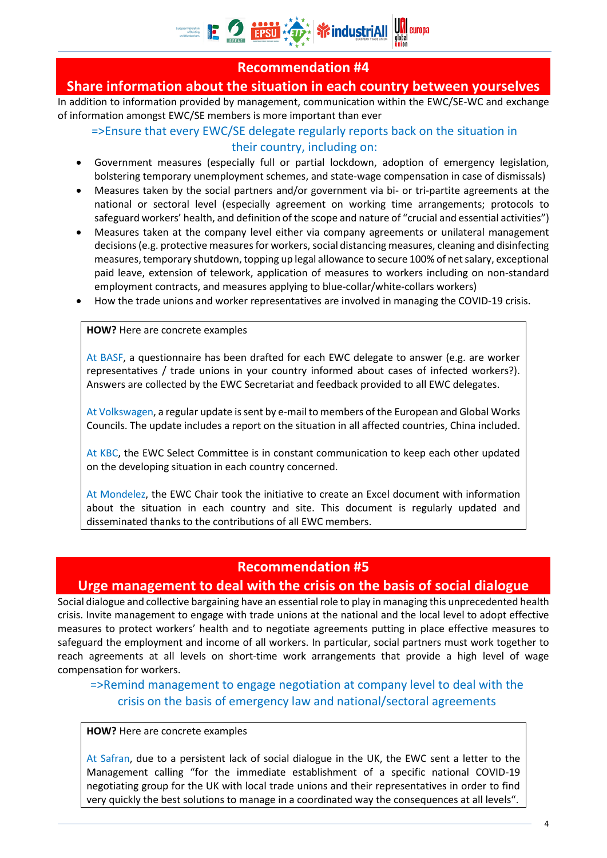

#### **Recommendation #4**

#### **Share information about the situation in each country between yourselves**

In addition to information provided by management, communication within the EWC/SE-WC and exchange of information amongst EWC/SE members is more important than ever

#### =>Ensure that every EWC/SE delegate regularly reports back on the situation in their country, including on:

- Government measures (especially full or partial lockdown, adoption of emergency legislation, bolstering temporary unemployment schemes, and state-wage compensation in case of dismissals)
- Measures taken by the social partners and/or government via bi- or tri-partite agreements at the national or sectoral level (especially agreement on working time arrangements; protocols to safeguard workers' health, and definition of the scope and nature of "crucial and essential activities")
- Measures taken at the company level either via company agreements or unilateral management decisions (e.g. protective measures for workers, social distancing measures, cleaning and disinfecting measures, temporary shutdown, topping up legal allowance to secure 100% of net salary, exceptional paid leave, extension of telework, application of measures to workers including on non-standard employment contracts, and measures applying to blue-collar/white-collars workers)
- How the trade unions and worker representatives are involved in managing the COVID-19 crisis.

#### **HOW?** Here are concrete examples

At BASF, a questionnaire has been drafted for each EWC delegate to answer (e.g. are worker representatives / trade unions in your country informed about cases of infected workers?). Answers are collected by the EWC Secretariat and feedback provided to all EWC delegates.

At Volkswagen, a regular update is sent by e-mail to members of the European and Global Works Councils. The update includes a report on the situation in all affected countries, China included.

At KBC, the EWC Select Committee is in constant communication to keep each other updated on the developing situation in each country concerned.

At Mondelez, the EWC Chair took the initiative to create an Excel document with information about the situation in each country and site. This document is regularly updated and disseminated thanks to the contributions of all EWC members.

#### **Recommendation #5**

#### **Urge management to deal with the crisis on the basis of social dialogue**

Social dialogue and collective bargaining have an essential role to play in managing this unprecedented health crisis. Invite management to engage with trade unions at the national and the local level to adopt effective measures to protect workers' health and to negotiate agreements putting in place effective measures to safeguard the employment and income of all workers. In particular, social partners must work together to reach agreements at all levels on short-time work arrangements that provide a high level of wage compensation for workers.

#### =>Remind management to engage negotiation at company level to deal with the crisis on the basis of emergency law and national/sectoral agreements

#### **HOW?** Here are concrete examples

At Safran, due to a persistent lack of social dialogue in the UK, the EWC sent a letter to the Management calling "for the immediate establishment of a specific national COVID-19 negotiating group for the UK with local trade unions and their representatives in order to find very quickly the best solutions to manage in a coordinated way the consequences at all levels".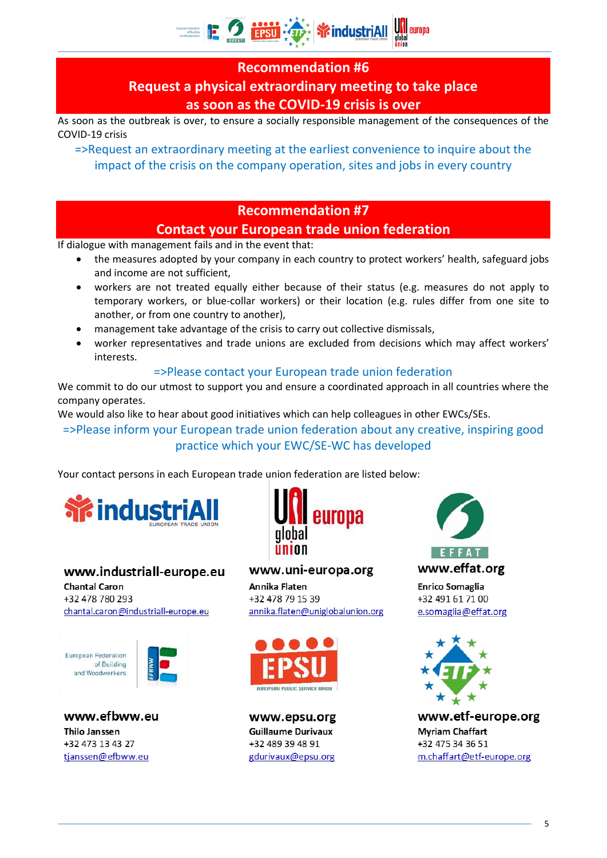# **E 2 institute \* industriall**

#### **Recommendation #6**

## **Request a physical extraordinary meeting to take place as soon as the COVID-19 crisis is over**

As soon as the outbreak is over, to ensure a socially responsible management of the consequences of the COVID-19 crisis

=>Request an extraordinary meeting at the earliest convenience to inquire about the impact of the crisis on the company operation, sites and jobs in every country

#### **Recommendation #7**

#### **Contact your European trade union federation**

If dialogue with management fails and in the event that:

- the measures adopted by your company in each country to protect workers' health, safeguard jobs and income are not sufficient,
- workers are not treated equally either because of their status (e.g. measures do not apply to temporary workers, or blue-collar workers) or their location (e.g. rules differ from one site to another, or from one country to another),
- management take advantage of the crisis to carry out collective dismissals,
- worker representatives and trade unions are excluded from decisions which may affect workers' interests.

#### =>Please contact your European trade union federation

We commit to do our utmost to support you and ensure a coordinated approach in all countries where the company operates.

We would also like to hear about good initiatives which can help colleagues in other EWCs/SEs.

=>Please inform your European trade union federation about any creative, inspiring good practice which your EWC/SE-WC has developed

Your contact persons in each European trade union federation are listed below:



### www.industriall-europe.eu

**Chantal Caron** +32 478 780 293 chantal.caron@industriall-europe.eu

**European Federation** of Building and Woodworkers

www.efbww.eu **Thilo Janssen** +32 473 13 43 27 tjanssen@efbww.eu



www.uni-europa.org

Annika Flaten +32 478 79 15 39 annika.flaten@uniglobalunion.org



www.epsu.org **Guillaume Durivaux** +32 489 39 48 91 gdurivaux@epsu.org



www.effat.org

**Enrico Somaglia** +32 491 61 71 00 e.somaglia@effat.org



www.etf-europe.org **Myriam Chaffart** +32 475 34 36 51 m.chaffart@etf-europe.org